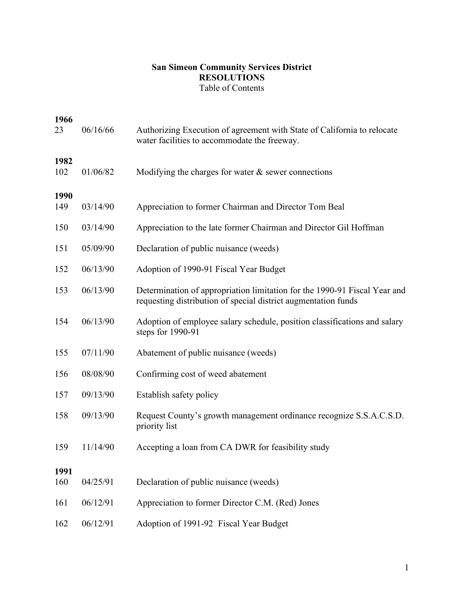## **San Simeon Community Services District RESOLUTIONS** Table of Contents

| 1966<br>23  | 06/16/66 | Authorizing Execution of agreement with State of California to relocate<br>water facilities to accommodate the freeway.                     |
|-------------|----------|---------------------------------------------------------------------------------------------------------------------------------------------|
| 1982<br>102 | 01/06/82 | Modifying the charges for water $\&$ sewer connections                                                                                      |
| 1990<br>149 | 03/14/90 | Appreciation to former Chairman and Director Tom Beal                                                                                       |
| 150         | 03/14/90 | Appreciation to the late former Chairman and Director Gil Hoffman                                                                           |
| 151         | 05/09/90 | Declaration of public nuisance (weeds)                                                                                                      |
| 152         | 06/13/90 | Adoption of 1990-91 Fiscal Year Budget                                                                                                      |
| 153         | 06/13/90 | Determination of appropriation limitation for the 1990-91 Fiscal Year and<br>requesting distribution of special district augmentation funds |
| 154         | 06/13/90 | Adoption of employee salary schedule, position classifications and salary<br>steps for 1990-91                                              |
| 155         | 07/11/90 | Abatement of public nuisance (weeds)                                                                                                        |
| 156         | 08/08/90 | Confirming cost of weed abatement                                                                                                           |
| 157         | 09/13/90 | Establish safety policy                                                                                                                     |
| 158         | 09/13/90 | Request County's growth management ordinance recognize S.S.A.C.S.D.<br>priority list                                                        |
| 159         | 11/14/90 | Accepting a loan from CA DWR for feasibility study                                                                                          |
| 1991        |          |                                                                                                                                             |
| 160         | 04/25/91 | Declaration of public nuisance (weeds)                                                                                                      |
| 161         | 06/12/91 | Appreciation to former Director C.M. (Red) Jones                                                                                            |
| 162         | 06/12/91 | Adoption of 1991-92 Fiscal Year Budget                                                                                                      |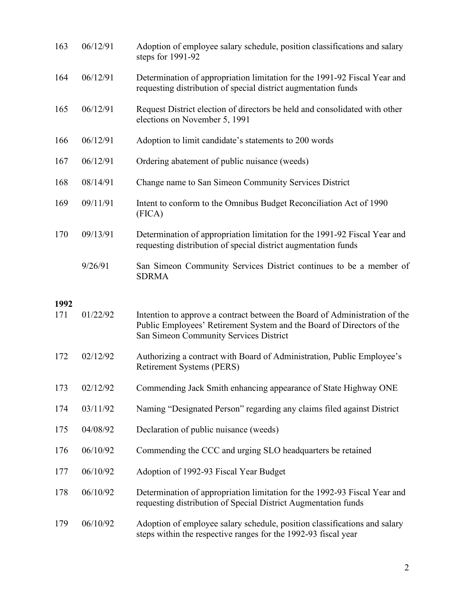| 163  | 06/12/91 | Adoption of employee salary schedule, position classifications and salary<br>steps for 1991-92                                                                                                |
|------|----------|-----------------------------------------------------------------------------------------------------------------------------------------------------------------------------------------------|
| 164  | 06/12/91 | Determination of appropriation limitation for the 1991-92 Fiscal Year and<br>requesting distribution of special district augmentation funds                                                   |
| 165  | 06/12/91 | Request District election of directors be held and consolidated with other<br>elections on November 5, 1991                                                                                   |
| 166  | 06/12/91 | Adoption to limit candidate's statements to 200 words                                                                                                                                         |
| 167  | 06/12/91 | Ordering abatement of public nuisance (weeds)                                                                                                                                                 |
| 168  | 08/14/91 | Change name to San Simeon Community Services District                                                                                                                                         |
| 169  | 09/11/91 | Intent to conform to the Omnibus Budget Reconciliation Act of 1990<br>(FICA)                                                                                                                  |
| 170  | 09/13/91 | Determination of appropriation limitation for the 1991-92 Fiscal Year and<br>requesting distribution of special district augmentation funds                                                   |
|      | 9/26/91  | San Simeon Community Services District continues to be a member of<br><b>SDRMA</b>                                                                                                            |
| 1992 |          |                                                                                                                                                                                               |
| 171  | 01/22/92 | Intention to approve a contract between the Board of Administration of the<br>Public Employees' Retirement System and the Board of Directors of the<br>San Simeon Community Services District |
| 172  | 02/12/92 | Authorizing a contract with Board of Administration, Public Employee's<br>Retirement Systems (PERS)                                                                                           |
| 173  | 02/12/92 | Commending Jack Smith enhancing appearance of State Highway ONE                                                                                                                               |
| 174  | 03/11/92 | Naming "Designated Person" regarding any claims filed against District                                                                                                                        |
| 175  | 04/08/92 | Declaration of public nuisance (weeds)                                                                                                                                                        |
| 176  | 06/10/92 | Commending the CCC and urging SLO headquarters be retained                                                                                                                                    |
| 177  |          |                                                                                                                                                                                               |
|      | 06/10/92 | Adoption of 1992-93 Fiscal Year Budget                                                                                                                                                        |
| 178  | 06/10/92 | Determination of appropriation limitation for the 1992-93 Fiscal Year and<br>requesting distribution of Special District Augmentation funds                                                   |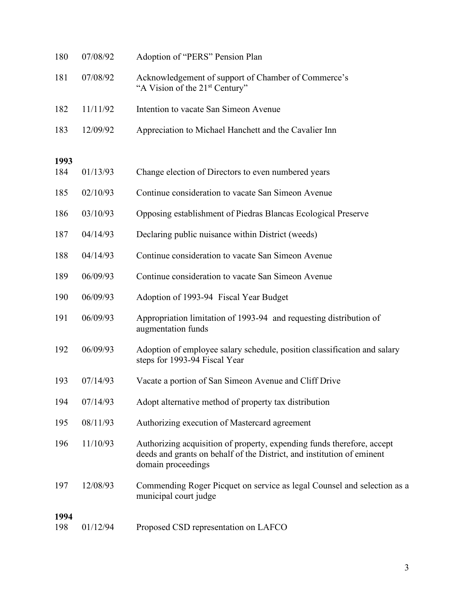| 180         | 07/08/92 | Adoption of "PERS" Pension Plan                                                                                                                                        |
|-------------|----------|------------------------------------------------------------------------------------------------------------------------------------------------------------------------|
| 181         | 07/08/92 | Acknowledgement of support of Chamber of Commerce's<br>"A Vision of the 21 <sup>st</sup> Century"                                                                      |
| 182         | 11/11/92 | Intention to vacate San Simeon Avenue                                                                                                                                  |
| 183         | 12/09/92 | Appreciation to Michael Hanchett and the Cavalier Inn                                                                                                                  |
| 1993        |          |                                                                                                                                                                        |
| 184         | 01/13/93 | Change election of Directors to even numbered years                                                                                                                    |
| 185         | 02/10/93 | Continue consideration to vacate San Simeon Avenue                                                                                                                     |
| 186         | 03/10/93 | Opposing establishment of Piedras Blancas Ecological Preserve                                                                                                          |
| 187         | 04/14/93 | Declaring public nuisance within District (weeds)                                                                                                                      |
| 188         | 04/14/93 | Continue consideration to vacate San Simeon Avenue                                                                                                                     |
| 189         | 06/09/93 | Continue consideration to vacate San Simeon Avenue                                                                                                                     |
| 190         | 06/09/93 | Adoption of 1993-94 Fiscal Year Budget                                                                                                                                 |
| 191         | 06/09/93 | Appropriation limitation of 1993-94 and requesting distribution of<br>augmentation funds                                                                               |
| 192         | 06/09/93 | Adoption of employee salary schedule, position classification and salary<br>steps for 1993-94 Fiscal Year                                                              |
| 193         | 07/14/93 | Vacate a portion of San Simeon Avenue and Cliff Drive                                                                                                                  |
| 194         | 07/14/93 | Adopt alternative method of property tax distribution                                                                                                                  |
| 195         | 08/11/93 | Authorizing execution of Mastercard agreement                                                                                                                          |
| 196         | 11/10/93 | Authorizing acquisition of property, expending funds therefore, accept<br>deeds and grants on behalf of the District, and institution of eminent<br>domain proceedings |
| 197         | 12/08/93 | Commending Roger Picquet on service as legal Counsel and selection as a<br>municipal court judge                                                                       |
| 1994<br>198 | 01/12/94 | Proposed CSD representation on LAFCO                                                                                                                                   |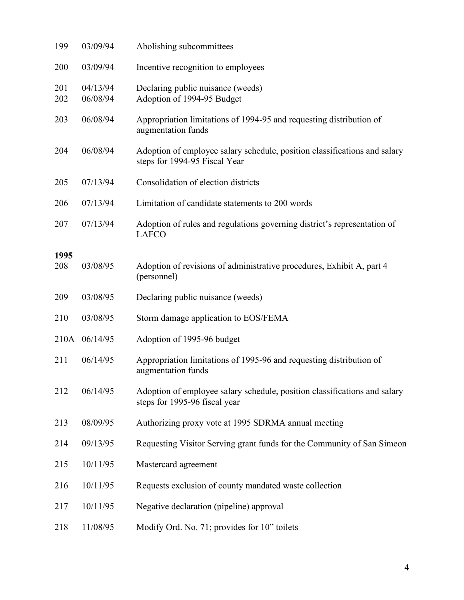| 199         | 03/09/94             | Abolishing subcommittees                                                                                   |
|-------------|----------------------|------------------------------------------------------------------------------------------------------------|
| 200         | 03/09/94             | Incentive recognition to employees                                                                         |
| 201<br>202  | 04/13/94<br>06/08/94 | Declaring public nuisance (weeds)<br>Adoption of 1994-95 Budget                                            |
| 203         | 06/08/94             | Appropriation limitations of 1994-95 and requesting distribution of<br>augmentation funds                  |
| 204         | 06/08/94             | Adoption of employee salary schedule, position classifications and salary<br>steps for 1994-95 Fiscal Year |
| 205         | 07/13/94             | Consolidation of election districts                                                                        |
| 206         | 07/13/94             | Limitation of candidate statements to 200 words                                                            |
| 207         | 07/13/94             | Adoption of rules and regulations governing district's representation of<br><b>LAFCO</b>                   |
| 1995<br>208 | 03/08/95             | Adoption of revisions of administrative procedures, Exhibit A, part 4<br>(personnel)                       |
| 209         | 03/08/95             | Declaring public nuisance (weeds)                                                                          |
| 210         | 03/08/95             | Storm damage application to EOS/FEMA                                                                       |
|             | 210A 06/14/95        | Adoption of 1995-96 budget                                                                                 |
| 211         | 06/14/95             | Appropriation limitations of 1995-96 and requesting distribution of<br>augmentation funds                  |
| 212         | 06/14/95             | Adoption of employee salary schedule, position classifications and salary<br>steps for 1995-96 fiscal year |
| 213         | 08/09/95             | Authorizing proxy vote at 1995 SDRMA annual meeting                                                        |
| 214         | 09/13/95             | Requesting Visitor Serving grant funds for the Community of San Simeon                                     |
| 215         | 10/11/95             | Mastercard agreement                                                                                       |
| 216         | 10/11/95             | Requests exclusion of county mandated waste collection                                                     |
| 217         | 10/11/95             | Negative declaration (pipeline) approval                                                                   |
| 218         | 11/08/95             | Modify Ord. No. 71; provides for 10" toilets                                                               |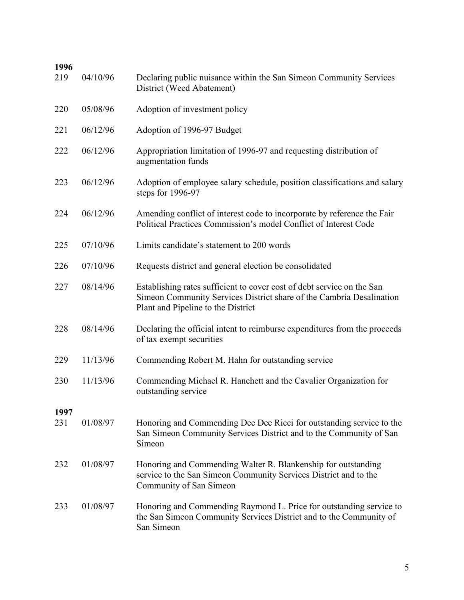| 1996<br>219 | 04/10/96 | Declaring public nuisance within the San Simeon Community Services                                                                                                                   |
|-------------|----------|--------------------------------------------------------------------------------------------------------------------------------------------------------------------------------------|
|             |          | District (Weed Abatement)                                                                                                                                                            |
| 220         | 05/08/96 | Adoption of investment policy                                                                                                                                                        |
| 221         | 06/12/96 | Adoption of 1996-97 Budget                                                                                                                                                           |
| 222         | 06/12/96 | Appropriation limitation of 1996-97 and requesting distribution of<br>augmentation funds                                                                                             |
| 223         | 06/12/96 | Adoption of employee salary schedule, position classifications and salary<br>steps for 1996-97                                                                                       |
| 224         | 06/12/96 | Amending conflict of interest code to incorporate by reference the Fair<br>Political Practices Commission's model Conflict of Interest Code                                          |
| 225         | 07/10/96 | Limits candidate's statement to 200 words                                                                                                                                            |
| 226         | 07/10/96 | Requests district and general election be consolidated                                                                                                                               |
| 227         | 08/14/96 | Establishing rates sufficient to cover cost of debt service on the San<br>Simeon Community Services District share of the Cambria Desalination<br>Plant and Pipeline to the District |
| 228         | 08/14/96 | Declaring the official intent to reimburse expenditures from the proceeds<br>of tax exempt securities                                                                                |
| 229         | 11/13/96 | Commending Robert M. Hahn for outstanding service                                                                                                                                    |
| 230         | 11/13/96 | Commending Michael R. Hanchett and the Cavalier Organization for<br>outstanding service                                                                                              |
| 1997        |          |                                                                                                                                                                                      |
| 231         | 01/08/97 | Honoring and Commending Dee Dee Ricci for outstanding service to the<br>San Simeon Community Services District and to the Community of San<br>Simeon                                 |
| 232         | 01/08/97 | Honoring and Commending Walter R. Blankenship for outstanding<br>service to the San Simeon Community Services District and to the<br>Community of San Simeon                         |
| 233         | 01/08/97 | Honoring and Commending Raymond L. Price for outstanding service to<br>the San Simeon Community Services District and to the Community of<br>San Simeon                              |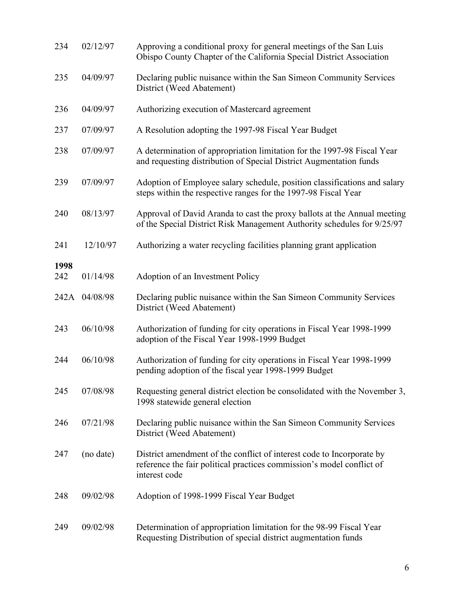| 234  | 02/12/97      | Approving a conditional proxy for general meetings of the San Luis<br>Obispo County Chapter of the California Special District Association                      |
|------|---------------|-----------------------------------------------------------------------------------------------------------------------------------------------------------------|
| 235  | 04/09/97      | Declaring public nuisance within the San Simeon Community Services<br>District (Weed Abatement)                                                                 |
| 236  | 04/09/97      | Authorizing execution of Mastercard agreement                                                                                                                   |
| 237  | 07/09/97      | A Resolution adopting the 1997-98 Fiscal Year Budget                                                                                                            |
| 238  | 07/09/97      | A determination of appropriation limitation for the 1997-98 Fiscal Year<br>and requesting distribution of Special District Augmentation funds                   |
| 239  | 07/09/97      | Adoption of Employee salary schedule, position classifications and salary<br>steps within the respective ranges for the 1997-98 Fiscal Year                     |
| 240  | 08/13/97      | Approval of David Aranda to cast the proxy ballots at the Annual meeting<br>of the Special District Risk Management Authority schedules for 9/25/97             |
| 241  | 12/10/97      | Authorizing a water recycling facilities planning grant application                                                                                             |
| 1998 |               |                                                                                                                                                                 |
| 242  | 01/14/98      | Adoption of an Investment Policy                                                                                                                                |
|      | 242A 04/08/98 | Declaring public nuisance within the San Simeon Community Services<br>District (Weed Abatement)                                                                 |
| 243  | 06/10/98      | Authorization of funding for city operations in Fiscal Year 1998-1999<br>adoption of the Fiscal Year 1998-1999 Budget                                           |
| 244  | 06/10/98      | Authorization of funding for city operations in Fiscal Year 1998-1999<br>pending adoption of the fiscal year 1998-1999 Budget                                   |
| 245  | 07/08/98      | Requesting general district election be consolidated with the November 3,<br>1998 statewide general election                                                    |
| 246  | 07/21/98      | Declaring public nuisance within the San Simeon Community Services<br>District (Weed Abatement)                                                                 |
| 247  | (no date)     | District amendment of the conflict of interest code to Incorporate by<br>reference the fair political practices commission's model conflict of<br>interest code |
| 248  | 09/02/98      | Adoption of 1998-1999 Fiscal Year Budget                                                                                                                        |
| 249  | 09/02/98      | Determination of appropriation limitation for the 98-99 Fiscal Year<br>Requesting Distribution of special district augmentation funds                           |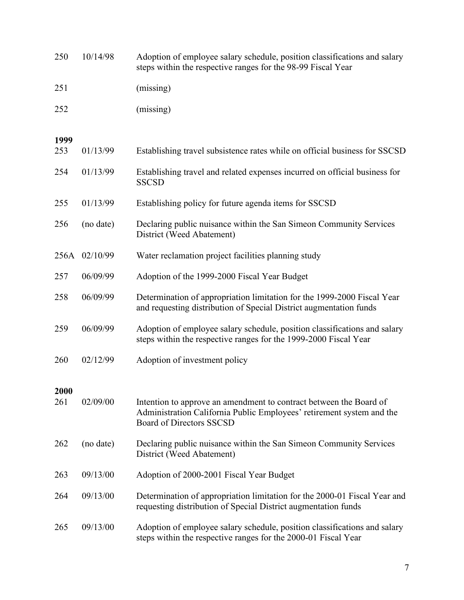| 250         | 10/14/98      | Adoption of employee salary schedule, position classifications and salary<br>steps within the respective ranges for the 98-99 Fiscal Year                                      |
|-------------|---------------|--------------------------------------------------------------------------------------------------------------------------------------------------------------------------------|
| 251         |               | (missing)                                                                                                                                                                      |
| 252         |               | (missing)                                                                                                                                                                      |
| 1999        |               |                                                                                                                                                                                |
| 253         | 01/13/99      | Establishing travel subsistence rates while on official business for SSCSD                                                                                                     |
| 254         | 01/13/99      | Establishing travel and related expenses incurred on official business for<br><b>SSCSD</b>                                                                                     |
| 255         | 01/13/99      | Establishing policy for future agenda items for SSCSD                                                                                                                          |
| 256         | (no date)     | Declaring public nuisance within the San Simeon Community Services<br>District (Weed Abatement)                                                                                |
|             | 256A 02/10/99 | Water reclamation project facilities planning study                                                                                                                            |
| 257         | 06/09/99      | Adoption of the 1999-2000 Fiscal Year Budget                                                                                                                                   |
| 258         | 06/09/99      | Determination of appropriation limitation for the 1999-2000 Fiscal Year<br>and requesting distribution of Special District augmentation funds                                  |
| 259         | 06/09/99      | Adoption of employee salary schedule, position classifications and salary<br>steps within the respective ranges for the 1999-2000 Fiscal Year                                  |
| 260         | 02/12/99      | Adoption of investment policy                                                                                                                                                  |
| 2000<br>261 | 02/09/00      | Intention to approve an amendment to contract between the Board of<br>Administration California Public Employees' retirement system and the<br><b>Board of Directors SSCSD</b> |
| 262         | (no date)     | Declaring public nuisance within the San Simeon Community Services<br>District (Weed Abatement)                                                                                |
| 263         | 09/13/00      | Adoption of 2000-2001 Fiscal Year Budget                                                                                                                                       |
| 264         | 09/13/00      | Determination of appropriation limitation for the 2000-01 Fiscal Year and<br>requesting distribution of Special District augmentation funds                                    |
| 265         | 09/13/00      | Adoption of employee salary schedule, position classifications and salary<br>steps within the respective ranges for the 2000-01 Fiscal Year                                    |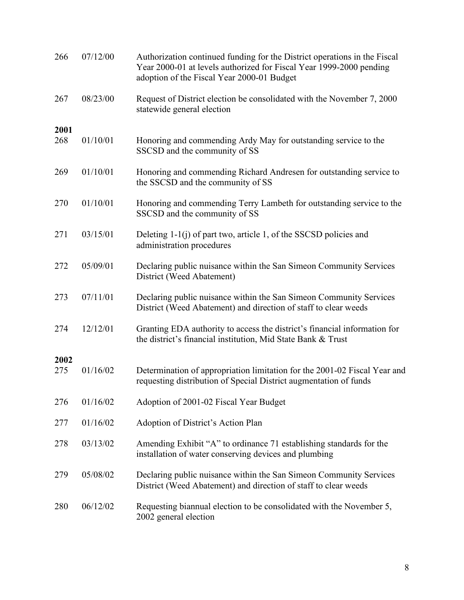| 266         | 07/12/00 | Authorization continued funding for the District operations in the Fiscal<br>Year 2000-01 at levels authorized for Fiscal Year 1999-2000 pending<br>adoption of the Fiscal Year 2000-01 Budget |
|-------------|----------|------------------------------------------------------------------------------------------------------------------------------------------------------------------------------------------------|
| 267         | 08/23/00 | Request of District election be consolidated with the November 7, 2000<br>statewide general election                                                                                           |
| 2001        |          |                                                                                                                                                                                                |
| 268         | 01/10/01 | Honoring and commending Ardy May for outstanding service to the<br>SSCSD and the community of SS                                                                                               |
| 269         | 01/10/01 | Honoring and commending Richard Andresen for outstanding service to<br>the SSCSD and the community of SS                                                                                       |
| 270         | 01/10/01 | Honoring and commending Terry Lambeth for outstanding service to the<br>SSCSD and the community of SS                                                                                          |
| 271         | 03/15/01 | Deleting 1-1(j) of part two, article 1, of the SSCSD policies and<br>administration procedures                                                                                                 |
| 272         | 05/09/01 | Declaring public nuisance within the San Simeon Community Services<br>District (Weed Abatement)                                                                                                |
| 273         | 07/11/01 | Declaring public nuisance within the San Simeon Community Services<br>District (Weed Abatement) and direction of staff to clear weeds                                                          |
| 274         | 12/12/01 | Granting EDA authority to access the district's financial information for<br>the district's financial institution, Mid State Bank & Trust                                                      |
|             |          |                                                                                                                                                                                                |
| 2002<br>275 | 01/16/02 | Determination of appropriation limitation for the 2001-02 Fiscal Year and<br>requesting distribution of Special District augmentation of funds                                                 |
| 276         | 01/16/02 | Adoption of 2001-02 Fiscal Year Budget                                                                                                                                                         |
| 277         | 01/16/02 | Adoption of District's Action Plan                                                                                                                                                             |
| 278         | 03/13/02 | Amending Exhibit "A" to ordinance 71 establishing standards for the<br>installation of water conserving devices and plumbing                                                                   |
| 279         | 05/08/02 | Declaring public nuisance within the San Simeon Community Services<br>District (Weed Abatement) and direction of staff to clear weeds                                                          |
| 280         | 06/12/02 | Requesting biannual election to be consolidated with the November 5,<br>2002 general election                                                                                                  |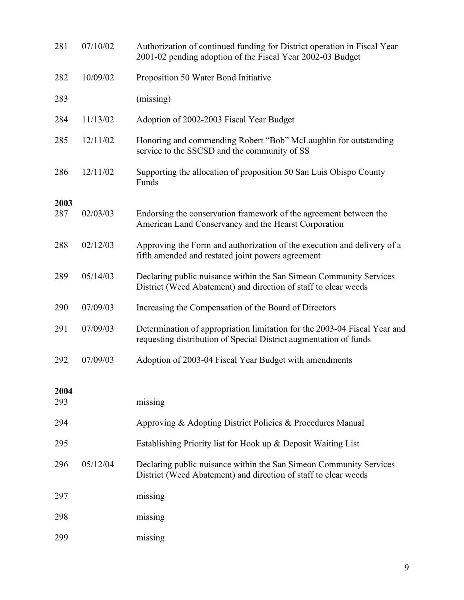| 281         | 07/10/02 | Authorization of continued funding for District operation in Fiscal Year<br>2001-02 pending adoption of the Fiscal Year 2002-03 Budget         |
|-------------|----------|------------------------------------------------------------------------------------------------------------------------------------------------|
| 282         | 10/09/02 | Proposition 50 Water Bond Initiative                                                                                                           |
| 283         |          | (missing)                                                                                                                                      |
| 284         | 11/13/02 | Adoption of 2002-2003 Fiscal Year Budget                                                                                                       |
| 285         | 12/11/02 | Honoring and commending Robert "Bob" McLaughlin for outstanding<br>service to the SSCSD and the community of SS                                |
| 286         | 12/11/02 | Supporting the allocation of proposition 50 San Luis Obispo County<br>Funds                                                                    |
| 2003        |          |                                                                                                                                                |
| 287         | 02/03/03 | Endorsing the conservation framework of the agreement between the<br>American Land Conservancy and the Hearst Corporation                      |
| 288         | 02/12/03 | Approving the Form and authorization of the execution and delivery of a<br>fifth amended and restated joint powers agreement                   |
| 289         | 05/14/03 | Declaring public nuisance within the San Simeon Community Services<br>District (Weed Abatement) and direction of staff to clear weeds          |
| 290         | 07/09/03 | Increasing the Compensation of the Board of Directors                                                                                          |
| 291         | 07/09/03 | Determination of appropriation limitation for the 2003-04 Fiscal Year and<br>requesting distribution of Special District augmentation of funds |
| 292         | 07/09/03 | Adoption of 2003-04 Fiscal Year Budget with amendments                                                                                         |
|             |          |                                                                                                                                                |
| 2004<br>293 |          | missing                                                                                                                                        |
| 294         |          | Approving & Adopting District Policies & Procedures Manual                                                                                     |
| 295         |          | Establishing Priority list for Hook up & Deposit Waiting List                                                                                  |
| 296         | 05/12/04 | Declaring public nuisance within the San Simeon Community Services<br>District (Weed Abatement) and direction of staff to clear weeds          |
| 297         |          | missing                                                                                                                                        |
| 298         |          | missing                                                                                                                                        |
| 299         |          | missing                                                                                                                                        |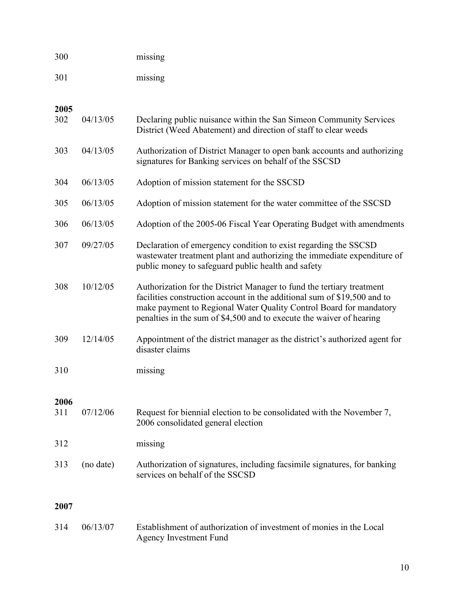| 300         |           | missing                                                                                                                                                                                                                                                                                         |
|-------------|-----------|-------------------------------------------------------------------------------------------------------------------------------------------------------------------------------------------------------------------------------------------------------------------------------------------------|
| 301         |           | missing                                                                                                                                                                                                                                                                                         |
| 2005<br>302 | 04/13/05  | Declaring public nuisance within the San Simeon Community Services<br>District (Weed Abatement) and direction of staff to clear weeds                                                                                                                                                           |
| 303         | 04/13/05  | Authorization of District Manager to open bank accounts and authorizing<br>signatures for Banking services on behalf of the SSCSD                                                                                                                                                               |
| 304         | 06/13/05  | Adoption of mission statement for the SSCSD                                                                                                                                                                                                                                                     |
| 305         | 06/13/05  | Adoption of mission statement for the water committee of the SSCSD                                                                                                                                                                                                                              |
| 306         | 06/13/05  | Adoption of the 2005-06 Fiscal Year Operating Budget with amendments                                                                                                                                                                                                                            |
| 307         | 09/27/05  | Declaration of emergency condition to exist regarding the SSCSD<br>wastewater treatment plant and authorizing the immediate expenditure of<br>public money to safeguard public health and safety                                                                                                |
| 308         | 10/12/05  | Authorization for the District Manager to fund the tertiary treatment<br>facilities construction account in the additional sum of \$19,500 and to<br>make payment to Regional Water Quality Control Board for mandatory<br>penalties in the sum of \$4,500 and to execute the waiver of hearing |
| 309         | 12/14/05  | Appointment of the district manager as the district's authorized agent for<br>disaster claims                                                                                                                                                                                                   |
| 310         |           | missing                                                                                                                                                                                                                                                                                         |
| 2006<br>311 | 07/12/06  | Request for biennial election to be consolidated with the November 7,<br>2006 consolidated general election                                                                                                                                                                                     |
| 312         |           | missing                                                                                                                                                                                                                                                                                         |
| 313         | (no date) | Authorization of signatures, including facsimile signatures, for banking<br>services on behalf of the SSCSD                                                                                                                                                                                     |
| 2007        |           |                                                                                                                                                                                                                                                                                                 |
| 314         | 06/13/07  | Establishment of authorization of investment of monies in the Local<br><b>Agency Investment Fund</b>                                                                                                                                                                                            |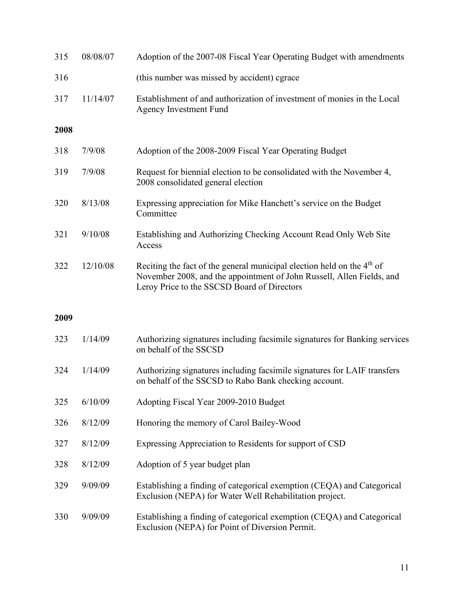| 315  | 08/08/07 | Adoption of the 2007-08 Fiscal Year Operating Budget with amendments                                                                                                                             |
|------|----------|--------------------------------------------------------------------------------------------------------------------------------------------------------------------------------------------------|
| 316  |          | (this number was missed by accident) cgrace                                                                                                                                                      |
| 317  | 11/14/07 | Establishment of and authorization of investment of monies in the Local<br><b>Agency Investment Fund</b>                                                                                         |
| 2008 |          |                                                                                                                                                                                                  |
| 318  | 7/9/08   | Adoption of the 2008-2009 Fiscal Year Operating Budget                                                                                                                                           |
| 319  | 7/9/08   | Request for biennial election to be consolidated with the November 4,<br>2008 consolidated general election                                                                                      |
| 320  | 8/13/08  | Expressing appreciation for Mike Hanchett's service on the Budget<br>Committee                                                                                                                   |
| 321  | 9/10/08  | Establishing and Authorizing Checking Account Read Only Web Site<br>Access                                                                                                                       |
| 322  | 12/10/08 | Reciting the fact of the general municipal election held on the $4th$ of<br>November 2008, and the appointment of John Russell, Allen Fields, and<br>Leroy Price to the SSCSD Board of Directors |
|      |          |                                                                                                                                                                                                  |
| 2009 |          |                                                                                                                                                                                                  |
| 323  | 1/14/09  | Authorizing signatures including facsimile signatures for Banking services<br>on behalf of the SSCSD                                                                                             |
| 324  | 1/14/09  | Authorizing signatures including facsimile signatures for LAIF transfers<br>on behalf of the SSCSD to Rabo Bank checking account.                                                                |
| 325  | 6/10/09  | Adopting Fiscal Year 2009-2010 Budget                                                                                                                                                            |
| 326  | 8/12/09  | Honoring the memory of Carol Bailey-Wood                                                                                                                                                         |
| 327  | 8/12/09  | Expressing Appreciation to Residents for support of CSD                                                                                                                                          |
| 328  | 8/12/09  | Adoption of 5 year budget plan                                                                                                                                                                   |
| 329  | 9/09/09  | Establishing a finding of categorical exemption (CEQA) and Categorical<br>Exclusion (NEPA) for Water Well Rehabilitation project.                                                                |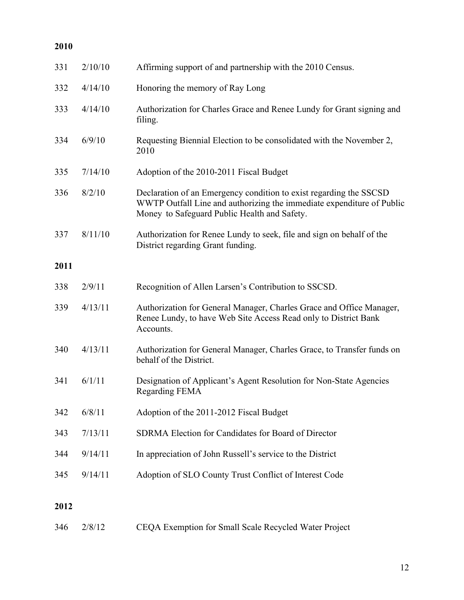| 2010 |                |                                                                                                                                                                                             |
|------|----------------|---------------------------------------------------------------------------------------------------------------------------------------------------------------------------------------------|
| 331  | 2/10/10        | Affirming support of and partnership with the 2010 Census.                                                                                                                                  |
| 332  | 4/14/10        | Honoring the memory of Ray Long                                                                                                                                                             |
| 333  | 4/14/10        | Authorization for Charles Grace and Renee Lundy for Grant signing and<br>filing.                                                                                                            |
| 334  | 6/9/10         | Requesting Biennial Election to be consolidated with the November 2,<br>2010                                                                                                                |
| 335  | 7/14/10        | Adoption of the 2010-2011 Fiscal Budget                                                                                                                                                     |
| 336  | 8/2/10         | Declaration of an Emergency condition to exist regarding the SSCSD<br>WWTP Outfall Line and authorizing the immediate expenditure of Public<br>Money to Safeguard Public Health and Safety. |
| 337  | 8/11/10        | Authorization for Renee Lundy to seek, file and sign on behalf of the<br>District regarding Grant funding.                                                                                  |
| 2011 |                |                                                                                                                                                                                             |
| 338  | 2/9/11         | Recognition of Allen Larsen's Contribution to SSCSD.                                                                                                                                        |
| 339  | 4/13/11        | Authorization for General Manager, Charles Grace and Office Manager,<br>Renee Lundy, to have Web Site Access Read only to District Bank<br>Accounts.                                        |
| 340  | 4/13/11        | Authorization for General Manager, Charles Grace, to Transfer funds on<br>behalf of the District.                                                                                           |
|      | $341$ $6/1/11$ | Designation of Applicant's Agent Resolution for Non-State Agencies<br><b>Regarding FEMA</b>                                                                                                 |
| 342  | 6/8/11         | Adoption of the 2011-2012 Fiscal Budget                                                                                                                                                     |
| 343  | 7/13/11        | SDRMA Election for Candidates for Board of Director                                                                                                                                         |
| 344  | 9/14/11        | In appreciation of John Russell's service to the District                                                                                                                                   |
| 345  | 9/14/11        | Adoption of SLO County Trust Conflict of Interest Code                                                                                                                                      |
| 2012 |                |                                                                                                                                                                                             |

2/8/12 CEQA Exemption for Small Scale Recycled Water Project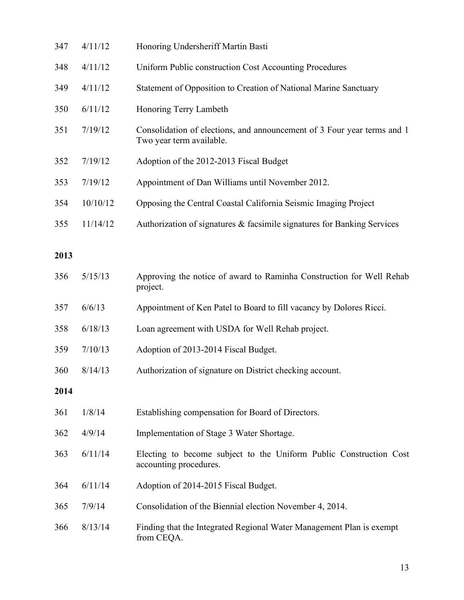| 347  | 4/11/12  | Honoring Undersheriff Martin Basti                                                                  |
|------|----------|-----------------------------------------------------------------------------------------------------|
| 348  | 4/11/12  | Uniform Public construction Cost Accounting Procedures                                              |
| 349  | 4/11/12  | Statement of Opposition to Creation of National Marine Sanctuary                                    |
| 350  | 6/11/12  | Honoring Terry Lambeth                                                                              |
| 351  | 7/19/12  | Consolidation of elections, and announcement of 3 Four year terms and 1<br>Two year term available. |
| 352  | 7/19/12  | Adoption of the 2012-2013 Fiscal Budget                                                             |
| 353  | 7/19/12  | Appointment of Dan Williams until November 2012.                                                    |
| 354  | 10/10/12 | Opposing the Central Coastal California Seismic Imaging Project                                     |
| 355  | 11/14/12 | Authorization of signatures & facsimile signatures for Banking Services                             |
| 2013 |          |                                                                                                     |
| 356  | 5/15/13  | Approving the notice of award to Raminha Construction for Well Rehab<br>project.                    |
| 357  | 6/6/13   | Appointment of Ken Patel to Board to fill vacancy by Dolores Ricci.                                 |
| 358  | 6/18/13  | Loan agreement with USDA for Well Rehab project.                                                    |
| 359  | 7/10/13  | Adoption of 2013-2014 Fiscal Budget.                                                                |
| 360  | 8/14/13  | Authorization of signature on District checking account.                                            |
| 2014 |          |                                                                                                     |
| 361  | 1/8/14   | Establishing compensation for Board of Directors.                                                   |
| 362  | 4/9/14   | Implementation of Stage 3 Water Shortage.                                                           |
| 363  | 6/11/14  | Electing to become subject to the Uniform Public Construction Cost<br>accounting procedures.        |
| 364  | 6/11/14  | Adoption of 2014-2015 Fiscal Budget.                                                                |
| 365  | 7/9/14   | Consolidation of the Biennial election November 4, 2014.                                            |
| 366  | 8/13/14  | Finding that the Integrated Regional Water Management Plan is exempt<br>from CEQA.                  |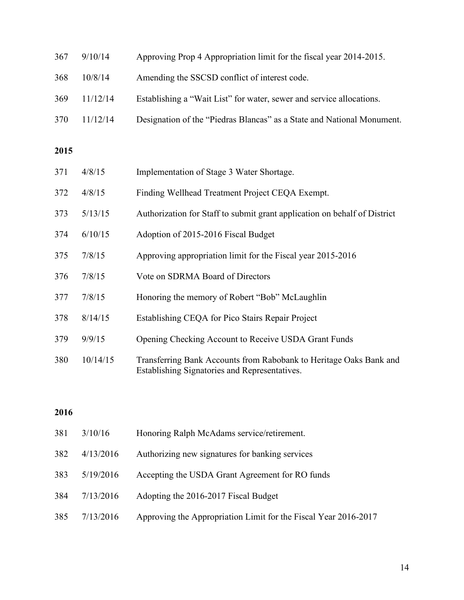| 367 | 9/10/14  | Approving Prop 4 Appropriation limit for the fiscal year 2014-2015.    |
|-----|----------|------------------------------------------------------------------------|
| 368 | 10/8/14  | Amending the SSCSD conflict of interest code.                          |
| 369 | 11/12/14 | Establishing a "Wait List" for water, sewer and service allocations.   |
| 370 | 11/12/14 | Designation of the "Piedras Blancas" as a State and National Monument. |
|     |          |                                                                        |

## 

| 371 | 4/8/15   | Implementation of Stage 3 Water Shortage.                                                                           |
|-----|----------|---------------------------------------------------------------------------------------------------------------------|
| 372 | 4/8/15   | Finding Wellhead Treatment Project CEQA Exempt.                                                                     |
| 373 | 5/13/15  | Authorization for Staff to submit grant application on behalf of District                                           |
| 374 | 6/10/15  | Adoption of 2015-2016 Fiscal Budget                                                                                 |
| 375 | 7/8/15   | Approving appropriation limit for the Fiscal year 2015-2016                                                         |
| 376 | 7/8/15   | Vote on SDRMA Board of Directors                                                                                    |
| 377 | 7/8/15   | Honoring the memory of Robert "Bob" McLaughlin                                                                      |
| 378 | 8/14/15  | Establishing CEQA for Pico Stairs Repair Project                                                                    |
| 379 | 9/9/15   | Opening Checking Account to Receive USDA Grant Funds                                                                |
| 380 | 10/14/15 | Transferring Bank Accounts from Rabobank to Heritage Oaks Bank and<br>Establishing Signatories and Representatives. |

## 

| Authorizing new signatures for banking services<br>382<br>4/13/2016<br>383<br>Accepting the USDA Grant Agreement for RO funds<br>5/19/2016<br>Adopting the 2016-2017 Fiscal Budget<br>384<br>7/13/2016<br>385<br>7/13/2016 | 381 | 3/10/16 | Honoring Ralph McAdams service/retirement.                      |
|----------------------------------------------------------------------------------------------------------------------------------------------------------------------------------------------------------------------------|-----|---------|-----------------------------------------------------------------|
|                                                                                                                                                                                                                            |     |         |                                                                 |
|                                                                                                                                                                                                                            |     |         |                                                                 |
|                                                                                                                                                                                                                            |     |         |                                                                 |
|                                                                                                                                                                                                                            |     |         | Approving the Appropriation Limit for the Fiscal Year 2016-2017 |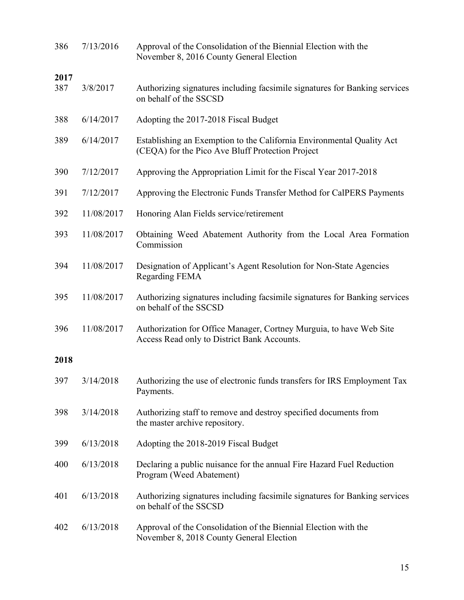| 386  | 7/13/2016  | Approval of the Consolidation of the Biennial Election with the<br>November 8, 2016 County General Election               |
|------|------------|---------------------------------------------------------------------------------------------------------------------------|
| 2017 |            |                                                                                                                           |
| 387  | 3/8/2017   | Authorizing signatures including facsimile signatures for Banking services<br>on behalf of the SSCSD                      |
| 388  | 6/14/2017  | Adopting the 2017-2018 Fiscal Budget                                                                                      |
| 389  | 6/14/2017  | Establishing an Exemption to the California Environmental Quality Act<br>(CEQA) for the Pico Ave Bluff Protection Project |
| 390  | 7/12/2017  | Approving the Appropriation Limit for the Fiscal Year 2017-2018                                                           |
| 391  | 7/12/2017  | Approving the Electronic Funds Transfer Method for CalPERS Payments                                                       |
| 392  | 11/08/2017 | Honoring Alan Fields service/retirement                                                                                   |
| 393  | 11/08/2017 | Obtaining Weed Abatement Authority from the Local Area Formation<br>Commission                                            |
| 394  | 11/08/2017 | Designation of Applicant's Agent Resolution for Non-State Agencies<br>Regarding FEMA                                      |
| 395  | 11/08/2017 | Authorizing signatures including facsimile signatures for Banking services<br>on behalf of the SSCSD                      |
| 396  | 11/08/2017 | Authorization for Office Manager, Cortney Murguia, to have Web Site<br>Access Read only to District Bank Accounts.        |
| 2018 |            |                                                                                                                           |
| 397  | 3/14/2018  | Authorizing the use of electronic funds transfers for IRS Employment Tax<br>Payments.                                     |
| 398  | 3/14/2018  | Authorizing staff to remove and destroy specified documents from<br>the master archive repository.                        |
| 399  | 6/13/2018  | Adopting the 2018-2019 Fiscal Budget                                                                                      |
| 400  | 6/13/2018  | Declaring a public nuisance for the annual Fire Hazard Fuel Reduction<br>Program (Weed Abatement)                         |
| 401  | 6/13/2018  | Authorizing signatures including facsimile signatures for Banking services<br>on behalf of the SSCSD                      |
| 402  | 6/13/2018  | Approval of the Consolidation of the Biennial Election with the<br>November 8, 2018 County General Election               |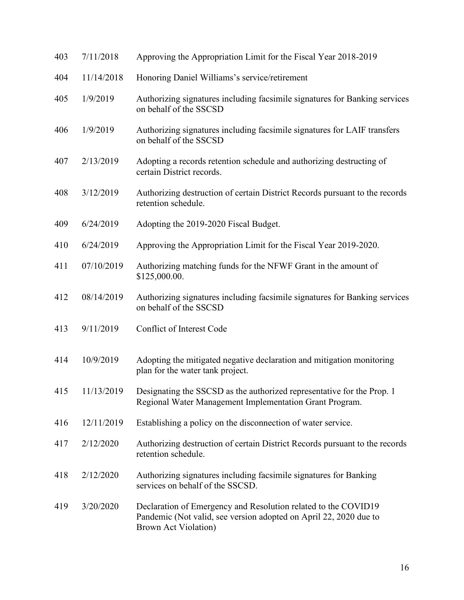| 403 | 7/11/2018  | Approving the Appropriation Limit for the Fiscal Year 2018-2019                                                                                                     |
|-----|------------|---------------------------------------------------------------------------------------------------------------------------------------------------------------------|
| 404 | 11/14/2018 | Honoring Daniel Williams's service/retirement                                                                                                                       |
| 405 | 1/9/2019   | Authorizing signatures including facsimile signatures for Banking services<br>on behalf of the SSCSD                                                                |
| 406 | 1/9/2019   | Authorizing signatures including facsimile signatures for LAIF transfers<br>on behalf of the SSCSD                                                                  |
| 407 | 2/13/2019  | Adopting a records retention schedule and authorizing destructing of<br>certain District records.                                                                   |
| 408 | 3/12/2019  | Authorizing destruction of certain District Records pursuant to the records<br>retention schedule.                                                                  |
| 409 | 6/24/2019  | Adopting the 2019-2020 Fiscal Budget.                                                                                                                               |
| 410 | 6/24/2019  | Approving the Appropriation Limit for the Fiscal Year 2019-2020.                                                                                                    |
| 411 | 07/10/2019 | Authorizing matching funds for the NFWF Grant in the amount of<br>\$125,000.00.                                                                                     |
| 412 | 08/14/2019 | Authorizing signatures including facsimile signatures for Banking services<br>on behalf of the SSCSD                                                                |
| 413 | 9/11/2019  | Conflict of Interest Code                                                                                                                                           |
| 414 | 10/9/2019  | Adopting the mitigated negative declaration and mitigation monitoring<br>plan for the water tank project.                                                           |
| 415 | 11/13/2019 | Designating the SSCSD as the authorized representative for the Prop. 1<br>Regional Water Management Implementation Grant Program.                                   |
| 416 | 12/11/2019 | Establishing a policy on the disconnection of water service.                                                                                                        |
| 417 | 2/12/2020  | Authorizing destruction of certain District Records pursuant to the records<br>retention schedule.                                                                  |
| 418 | 2/12/2020  | Authorizing signatures including facsimile signatures for Banking<br>services on behalf of the SSCSD.                                                               |
| 419 | 3/20/2020  | Declaration of Emergency and Resolution related to the COVID19<br>Pandemic (Not valid, see version adopted on April 22, 2020 due to<br><b>Brown Act Violation</b> ) |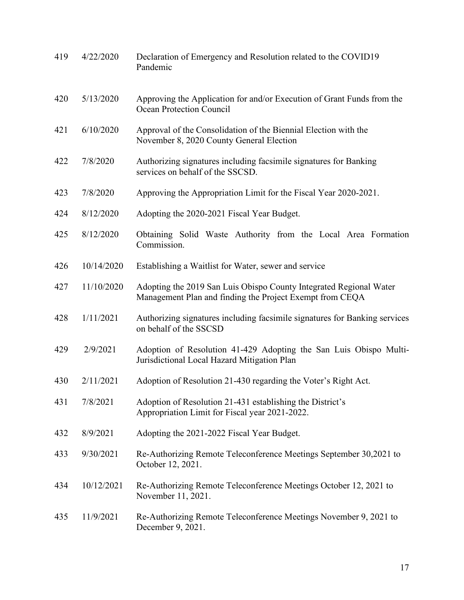| 419 | 4/22/2020  | Declaration of Emergency and Resolution related to the COVID19<br>Pandemic                                                     |
|-----|------------|--------------------------------------------------------------------------------------------------------------------------------|
| 420 | 5/13/2020  | Approving the Application for and/or Execution of Grant Funds from the<br><b>Ocean Protection Council</b>                      |
| 421 | 6/10/2020  | Approval of the Consolidation of the Biennial Election with the<br>November 8, 2020 County General Election                    |
| 422 | 7/8/2020   | Authorizing signatures including facsimile signatures for Banking<br>services on behalf of the SSCSD.                          |
| 423 | 7/8/2020   | Approving the Appropriation Limit for the Fiscal Year 2020-2021.                                                               |
| 424 | 8/12/2020  | Adopting the 2020-2021 Fiscal Year Budget.                                                                                     |
| 425 | 8/12/2020  | Obtaining Solid Waste Authority from the Local Area Formation<br>Commission.                                                   |
| 426 | 10/14/2020 | Establishing a Waitlist for Water, sewer and service                                                                           |
| 427 | 11/10/2020 | Adopting the 2019 San Luis Obispo County Integrated Regional Water<br>Management Plan and finding the Project Exempt from CEQA |
| 428 | 1/11/2021  | Authorizing signatures including facsimile signatures for Banking services<br>on behalf of the SSCSD                           |
| 429 | 2/9/2021   | Adoption of Resolution 41-429 Adopting the San Luis Obispo Multi-<br>Jurisdictional Local Hazard Mitigation Plan               |
| 430 | 2/11/2021  | Adoption of Resolution 21-430 regarding the Voter's Right Act.                                                                 |
| 431 | 7/8/2021   | Adoption of Resolution 21-431 establishing the District's<br>Appropriation Limit for Fiscal year 2021-2022.                    |
| 432 | 8/9/2021   | Adopting the 2021-2022 Fiscal Year Budget.                                                                                     |
| 433 | 9/30/2021  | Re-Authorizing Remote Teleconference Meetings September 30,2021 to<br>October 12, 2021.                                        |
| 434 | 10/12/2021 | Re-Authorizing Remote Teleconference Meetings October 12, 2021 to<br>November 11, 2021.                                        |
| 435 | 11/9/2021  | Re-Authorizing Remote Teleconference Meetings November 9, 2021 to<br>December 9, 2021.                                         |